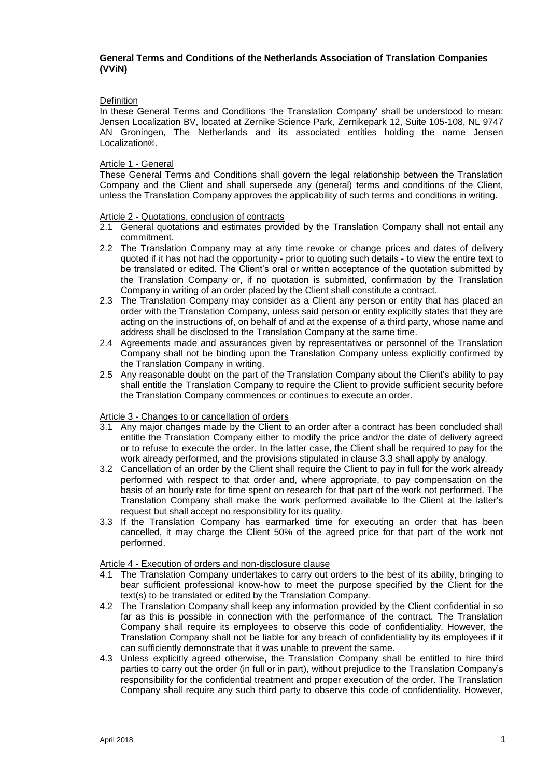## **General Terms and Conditions of the Netherlands Association of Translation Companies (VViN)**

### **Definition**

In these General Terms and Conditions 'the Translation Company' shall be understood to mean: Jensen Localization BV, located at Zernike Science Park, Zernikepark 12, Suite 105-108, NL 9747 AN Groningen, The Netherlands and its associated entities holding the name Jensen Localization®.

## Article 1 - General

These General Terms and Conditions shall govern the legal relationship between the Translation Company and the Client and shall supersede any (general) terms and conditions of the Client, unless the Translation Company approves the applicability of such terms and conditions in writing.

### Article 2 - Quotations, conclusion of contracts

- 2.1 General quotations and estimates provided by the Translation Company shall not entail any commitment.
- 2.2 The Translation Company may at any time revoke or change prices and dates of delivery quoted if it has not had the opportunity - prior to quoting such details - to view the entire text to be translated or edited. The Client's oral or written acceptance of the quotation submitted by the Translation Company or, if no quotation is submitted, confirmation by the Translation Company in writing of an order placed by the Client shall constitute a contract.
- 2.3 The Translation Company may consider as a Client any person or entity that has placed an order with the Translation Company, unless said person or entity explicitly states that they are acting on the instructions of, on behalf of and at the expense of a third party, whose name and address shall be disclosed to the Translation Company at the same time.
- 2.4 Agreements made and assurances given by representatives or personnel of the Translation Company shall not be binding upon the Translation Company unless explicitly confirmed by the Translation Company in writing.
- 2.5 Any reasonable doubt on the part of the Translation Company about the Client's ability to pay shall entitle the Translation Company to require the Client to provide sufficient security before the Translation Company commences or continues to execute an order.

### Article 3 - Changes to or cancellation of orders

- 3.1 Any major changes made by the Client to an order after a contract has been concluded shall entitle the Translation Company either to modify the price and/or the date of delivery agreed or to refuse to execute the order. In the latter case, the Client shall be required to pay for the work already performed, and the provisions stipulated in clause 3.3 shall apply by analogy.
- 3.2 Cancellation of an order by the Client shall require the Client to pay in full for the work already performed with respect to that order and, where appropriate, to pay compensation on the basis of an hourly rate for time spent on research for that part of the work not performed. The Translation Company shall make the work performed available to the Client at the latter's request but shall accept no responsibility for its quality.
- 3.3 If the Translation Company has earmarked time for executing an order that has been cancelled, it may charge the Client 50% of the agreed price for that part of the work not performed.

### Article 4 - Execution of orders and non-disclosure clause

- 4.1 The Translation Company undertakes to carry out orders to the best of its ability, bringing to bear sufficient professional know-how to meet the purpose specified by the Client for the text(s) to be translated or edited by the Translation Company.
- 4.2 The Translation Company shall keep any information provided by the Client confidential in so far as this is possible in connection with the performance of the contract. The Translation Company shall require its employees to observe this code of confidentiality. However, the Translation Company shall not be liable for any breach of confidentiality by its employees if it can sufficiently demonstrate that it was unable to prevent the same.
- 4.3 Unless explicitly agreed otherwise, the Translation Company shall be entitled to hire third parties to carry out the order (in full or in part), without prejudice to the Translation Company's responsibility for the confidential treatment and proper execution of the order. The Translation Company shall require any such third party to observe this code of confidentiality. However,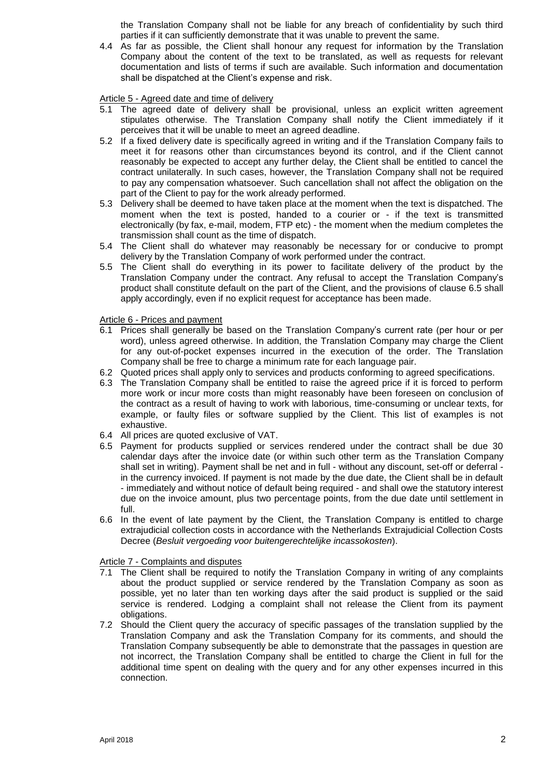the Translation Company shall not be liable for any breach of confidentiality by such third parties if it can sufficiently demonstrate that it was unable to prevent the same.

4.4 As far as possible, the Client shall honour any request for information by the Translation Company about the content of the text to be translated, as well as requests for relevant documentation and lists of terms if such are available. Such information and documentation shall be dispatched at the Client's expense and risk.

## Article 5 - Agreed date and time of delivery

- 5.1 The agreed date of delivery shall be provisional, unless an explicit written agreement stipulates otherwise. The Translation Company shall notify the Client immediately if it perceives that it will be unable to meet an agreed deadline.
- 5.2 If a fixed delivery date is specifically agreed in writing and if the Translation Company fails to meet it for reasons other than circumstances beyond its control, and if the Client cannot reasonably be expected to accept any further delay, the Client shall be entitled to cancel the contract unilaterally. In such cases, however, the Translation Company shall not be required to pay any compensation whatsoever. Such cancellation shall not affect the obligation on the part of the Client to pay for the work already performed.
- 5.3 Delivery shall be deemed to have taken place at the moment when the text is dispatched. The moment when the text is posted, handed to a courier or - if the text is transmitted electronically (by fax, e-mail, modem, FTP etc) - the moment when the medium completes the transmission shall count as the time of dispatch.
- 5.4 The Client shall do whatever may reasonably be necessary for or conducive to prompt delivery by the Translation Company of work performed under the contract.
- 5.5 The Client shall do everything in its power to facilitate delivery of the product by the Translation Company under the contract. Any refusal to accept the Translation Company's product shall constitute default on the part of the Client, and the provisions of clause 6.5 shall apply accordingly, even if no explicit request for acceptance has been made.

### Article 6 - Prices and payment

- 6.1 Prices shall generally be based on the Translation Company's current rate (per hour or per word), unless agreed otherwise. In addition, the Translation Company may charge the Client for any out-of-pocket expenses incurred in the execution of the order. The Translation Company shall be free to charge a minimum rate for each language pair.
- 6.2 Quoted prices shall apply only to services and products conforming to agreed specifications.
- 6.3 The Translation Company shall be entitled to raise the agreed price if it is forced to perform more work or incur more costs than might reasonably have been foreseen on conclusion of the contract as a result of having to work with laborious, time-consuming or unclear texts, for example, or faulty files or software supplied by the Client. This list of examples is not exhaustive.
- 6.4 All prices are quoted exclusive of VAT.
- 6.5 Payment for products supplied or services rendered under the contract shall be due 30 calendar days after the invoice date (or within such other term as the Translation Company shall set in writing). Payment shall be net and in full - without any discount, set-off or deferral in the currency invoiced. If payment is not made by the due date, the Client shall be in default - immediately and without notice of default being required - and shall owe the statutory interest due on the invoice amount, plus two percentage points, from the due date until settlement in full.
- 6.6 In the event of late payment by the Client, the Translation Company is entitled to charge extrajudicial collection costs in accordance with the Netherlands Extrajudicial Collection Costs Decree (*Besluit vergoeding voor buitengerechtelijke incassokosten*).

## Article 7 - Complaints and disputes

- 7.1 The Client shall be required to notify the Translation Company in writing of any complaints about the product supplied or service rendered by the Translation Company as soon as possible, yet no later than ten working days after the said product is supplied or the said service is rendered. Lodging a complaint shall not release the Client from its payment obligations.
- 7.2 Should the Client query the accuracy of specific passages of the translation supplied by the Translation Company and ask the Translation Company for its comments, and should the Translation Company subsequently be able to demonstrate that the passages in question are not incorrect, the Translation Company shall be entitled to charge the Client in full for the additional time spent on dealing with the query and for any other expenses incurred in this connection.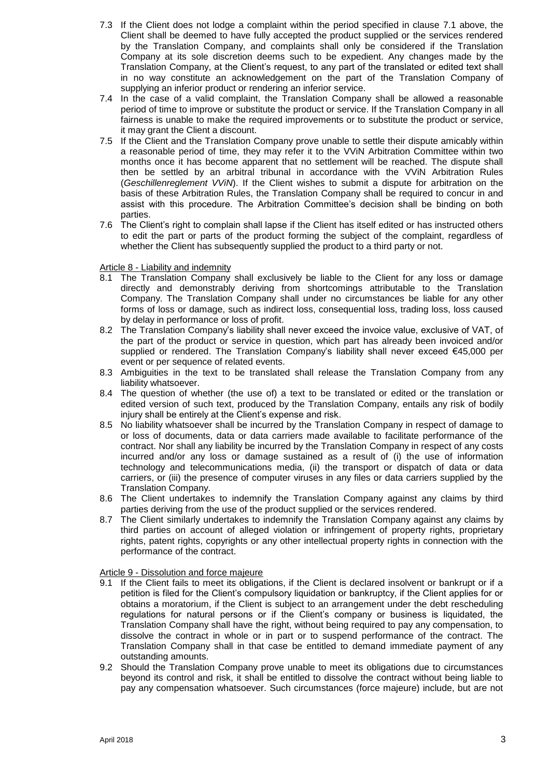- 7.3 If the Client does not lodge a complaint within the period specified in clause 7.1 above, the Client shall be deemed to have fully accepted the product supplied or the services rendered by the Translation Company, and complaints shall only be considered if the Translation Company at its sole discretion deems such to be expedient. Any changes made by the Translation Company, at the Client's request, to any part of the translated or edited text shall in no way constitute an acknowledgement on the part of the Translation Company of supplying an inferior product or rendering an inferior service.
- 7.4 In the case of a valid complaint, the Translation Company shall be allowed a reasonable period of time to improve or substitute the product or service. If the Translation Company in all fairness is unable to make the required improvements or to substitute the product or service, it may grant the Client a discount.
- 7.5 If the Client and the Translation Company prove unable to settle their dispute amicably within a reasonable period of time, they may refer it to the VViN Arbitration Committee within two months once it has become apparent that no settlement will be reached. The dispute shall then be settled by an arbitral tribunal in accordance with the VViN Arbitration Rules (*Geschillenreglement VViN*). If the Client wishes to submit a dispute for arbitration on the basis of these Arbitration Rules, the Translation Company shall be required to concur in and assist with this procedure. The Arbitration Committee's decision shall be binding on both parties.
- 7.6 The Client's right to complain shall lapse if the Client has itself edited or has instructed others to edit the part or parts of the product forming the subject of the complaint, regardless of whether the Client has subsequently supplied the product to a third party or not.

Article 8 - Liability and indemnity

- 8.1 The Translation Company shall exclusively be liable to the Client for any loss or damage directly and demonstrably deriving from shortcomings attributable to the Translation Company. The Translation Company shall under no circumstances be liable for any other forms of loss or damage, such as indirect loss, consequential loss, trading loss, loss caused by delay in performance or loss of profit.
- 8.2 The Translation Company's liability shall never exceed the invoice value, exclusive of VAT, of the part of the product or service in question, which part has already been invoiced and/or supplied or rendered. The Translation Company's liability shall never exceed €45,000 per event or per sequence of related events.
- 8.3 Ambiguities in the text to be translated shall release the Translation Company from any liability whatsoever.
- 8.4 The question of whether (the use of) a text to be translated or edited or the translation or edited version of such text, produced by the Translation Company, entails any risk of bodily injury shall be entirely at the Client's expense and risk.
- 8.5 No liability whatsoever shall be incurred by the Translation Company in respect of damage to or loss of documents, data or data carriers made available to facilitate performance of the contract. Nor shall any liability be incurred by the Translation Company in respect of any costs incurred and/or any loss or damage sustained as a result of (i) the use of information technology and telecommunications media, (ii) the transport or dispatch of data or data carriers, or (iii) the presence of computer viruses in any files or data carriers supplied by the Translation Company.
- 8.6 The Client undertakes to indemnify the Translation Company against any claims by third parties deriving from the use of the product supplied or the services rendered.
- 8.7 The Client similarly undertakes to indemnify the Translation Company against any claims by third parties on account of alleged violation or infringement of property rights, proprietary rights, patent rights, copyrights or any other intellectual property rights in connection with the performance of the contract.

Article 9 - Dissolution and force majeure

- 9.1 If the Client fails to meet its obligations, if the Client is declared insolvent or bankrupt or if a petition is filed for the Client's compulsory liquidation or bankruptcy, if the Client applies for or obtains a moratorium, if the Client is subject to an arrangement under the debt rescheduling regulations for natural persons or if the Client's company or business is liquidated, the Translation Company shall have the right, without being required to pay any compensation, to dissolve the contract in whole or in part or to suspend performance of the contract. The Translation Company shall in that case be entitled to demand immediate payment of any outstanding amounts.
- 9.2 Should the Translation Company prove unable to meet its obligations due to circumstances beyond its control and risk, it shall be entitled to dissolve the contract without being liable to pay any compensation whatsoever. Such circumstances (force majeure) include, but are not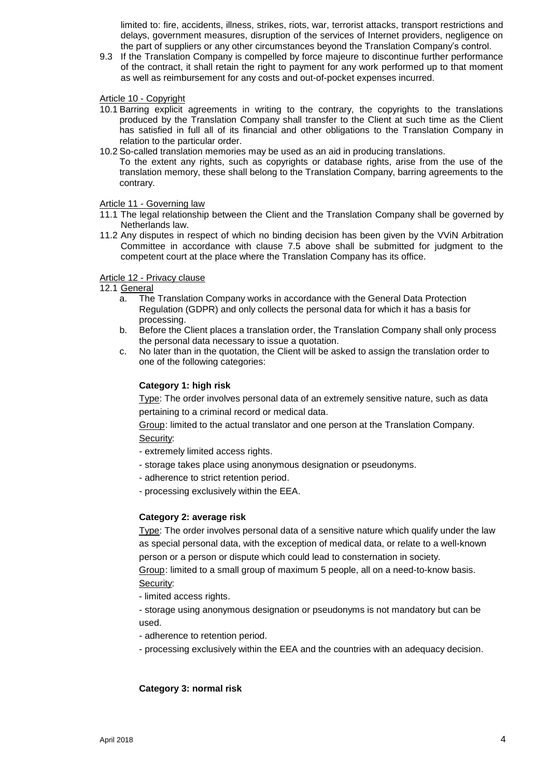limited to: fire, accidents, illness, strikes, riots, war, terrorist attacks, transport restrictions and delays, government measures, disruption of the services of Internet providers, negligence on the part of suppliers or any other circumstances beyond the Translation Company's control.

9.3 If the Translation Company is compelled by force majeure to discontinue further performance of the contract, it shall retain the right to payment for any work performed up to that moment as well as reimbursement for any costs and out-of-pocket expenses incurred.

Article 10 - Copyright

- 10.1 Barring explicit agreements in writing to the contrary, the copyrights to the translations produced by the Translation Company shall transfer to the Client at such time as the Client has satisfied in full all of its financial and other obligations to the Translation Company in relation to the particular order.
- 10.2 So-called translation memories may be used as an aid in producing translations.

To the extent any rights, such as copyrights or database rights, arise from the use of the translation memory, these shall belong to the Translation Company, barring agreements to the contrary.

Article 11 - Governing law

- 11.1 The legal relationship between the Client and the Translation Company shall be governed by Netherlands law.
- 11.2 Any disputes in respect of which no binding decision has been given by the VViN Arbitration Committee in accordance with clause 7.5 above shall be submitted for judgment to the competent court at the place where the Translation Company has its office.

Article 12 - Privacy clause

12.1 General

- a. The Translation Company works in accordance with the General Data Protection Regulation (GDPR) and only collects the personal data for which it has a basis for processing.
- b. Before the Client places a translation order, the Translation Company shall only process the personal data necessary to issue a quotation.
- c. No later than in the quotation, the Client will be asked to assign the translation order to one of the following categories:

# **Category 1: high risk**

Type: The order involves personal data of an extremely sensitive nature, such as data pertaining to a criminal record or medical data.

Group: limited to the actual translator and one person at the Translation Company. Security:

- extremely limited access rights.
- storage takes place using anonymous designation or pseudonyms.
- adherence to strict retention period.
- processing exclusively within the EEA.

# **Category 2: average risk**

Type: The order involves personal data of a sensitive nature which qualify under the law as special personal data, with the exception of medical data, or relate to a well-known person or a person or dispute which could lead to consternation in society.

Group: limited to a small group of maximum 5 people, all on a need-to-know basis. Security:

- limited access rights.

- storage using anonymous designation or pseudonyms is not mandatory but can be used.

- adherence to retention period.
- processing exclusively within the EEA and the countries with an adequacy decision.

# **Category 3: normal risk**